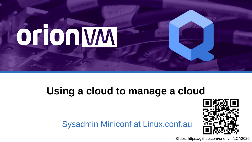

#### **Using a cloud to manage a cloud**

Sysadmin Miniconf at Linux.conf.au



Slides: https://github.com/orionvm/LCA2020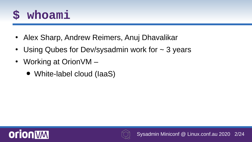## **\$ whoami**

- Alex Sharp, Andrew Reimers, Anuj Dhavalikar
- Using Qubes for Dev/sysadmin work for  $\sim$  3 years
- Working at Orion VM
	- White-label cloud (IaaS)



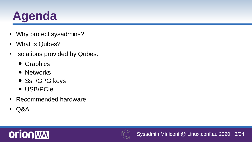## **Agenda**

- Why protect sysadmins?
- What is Qubes?
- Isolations provided by Qubes:
	- Graphics
	- Networks
	- Ssh/GPG keys
	- USB/PCIe
- Recommended hardware
- Q&A



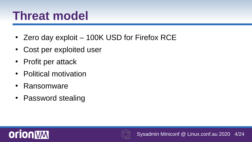## **Threat model**

- Zero day exploit  $-$  100K USD for Firefox RCE
- Cost per exploited user
- Profit per attack
- Political motivation
- Ransomware
- Password stealing



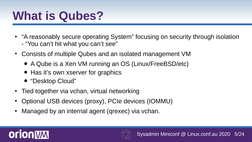## **What is Qubes?**

- "A reasonably secure operating System" focusing on security through isolation - "You can't hit what you can't see"
- Consists of multiple Qubes and an isolated management VM
	- A Qube is a Xen VM running an OS (Linux/FreeBSD/etc)
	- Has it's own xserver for graphics
	- "Desktop Cloud"
- Tied together via vchan, virtual networking
- Optional USB devices (proxy), PCIe devices (IOMMU)
- Managed by an internal agent (qrexec) via vchan.



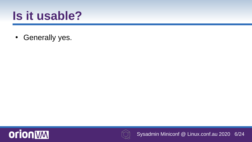## **Is it usable?**

• Generally yes.



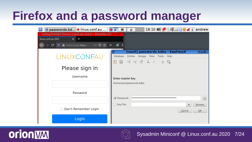## **Firefox and a password manager**

| passwords.kd b linux.conf.au<br>$ {\tt q} $                  | 18:10 (1) 图中二〇章 di l andrew<br>≏<br>酉                         |
|--------------------------------------------------------------|---------------------------------------------------------------|
| [disp3408] linux.conf.au SSO - Mozilla Fi                    |                                                               |
| linux.conf.au SSO<br>$x +$                                   |                                                               |
| $C$ $\boxed{0}$ $\boxed{a}$ https://login.linux.com<br>… ◎ ☆ | ď.<br>$\gg$<br>Ε                                              |
|                                                              | [vault] passwords.kdbx - KeePassX<br>0008<br>▣                |
| <b>LINUXCONFAU</b>                                           | Entries Groups View Tools Help<br>Database                    |
|                                                              | <b>BBCCCCDDIQ</b>                                             |
| Please sign in                                               |                                                               |
| Username                                                     | <b>Enter master key</b>                                       |
|                                                              | /home/user/passwords.kdbx                                     |
| Password                                                     |                                                               |
|                                                              | $\widehat{\circledast}$<br>Password:                          |
|                                                              | $\Box$ Key File:<br><b>Browse</b><br>$\overline{\phantom{a}}$ |
| Don't Remember Login                                         | OK<br>Cancel                                                  |
| Login                                                        |                                                               |



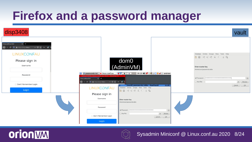#### **Firefox and a password manager**





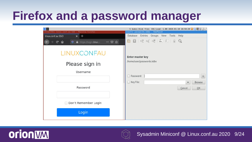## **Firefox and a password manager**

| 12                                                                                                  | 5 Qubes   Disk free: 33G   Load: 1.08   2020-01-10 18:50:28 ♥ Q團   圖書 |
|-----------------------------------------------------------------------------------------------------|-----------------------------------------------------------------------|
| [disp1799] linux.conf.au SSO - Mozilla Firefox                                                      | [vault] passwords.kdbx - KeePassX                                     |
| linux.conf.au SSO<br>$x +$                                                                          | Database Entries Groups View Tools Help                               |
| $\rightarrow$ $C$ $\hat{\omega}$<br>$\overline{\mathbf{O}}$ <b>A</b> https://login.linux.c<br>… 2 ☆ | <b>BBCCCADDIQ</b>                                                     |
| LINUXCONFAU                                                                                         | Enter master key                                                      |
| Please sign in                                                                                      | /home/user/passwords.kdbx                                             |
| Username                                                                                            |                                                                       |
|                                                                                                     | Password:<br>$^\circledR$                                             |
|                                                                                                     | $\Box$ Key File:<br><b>Browse</b><br>$\blacktriangledown$             |
| Password                                                                                            | QK<br>Cancel                                                          |
|                                                                                                     |                                                                       |
| Don't Remember Login<br>L.                                                                          |                                                                       |
| Login                                                                                               |                                                                       |



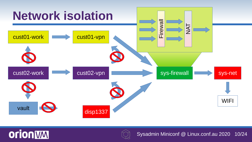



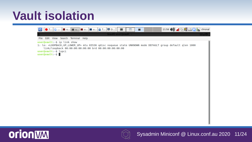### **Vault isolation**





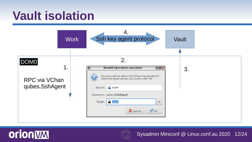#### **Vault isolation**





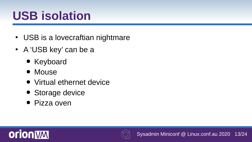## **USB isolation**

- USB is a lovecraftian nightmare
- A 'USB key' can be a
	- Keyboard
	- Mouse
	- Virtual ethernet device
	- Storage device
	- Pizza oven



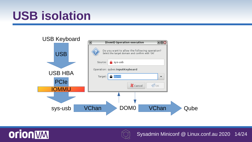## **USB isolation**





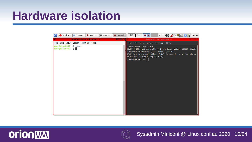#### **Hardware isolation**

| Mozilla  Q Qube M     user@s     user@v     user@di                                    | 21:06 (i) $\blacksquare$ $\blacksquare$ $\blacksquare$ $\blacksquare$ $\blacksquare$ $\blacksquare$ chronal<br>图                                                                                                                                                         |
|----------------------------------------------------------------------------------------|--------------------------------------------------------------------------------------------------------------------------------------------------------------------------------------------------------------------------------------------------------------------------|
| [disp6807] user@disp6807: $\sim$<br>$\blacksquare\blacksquare\blacksquare\blacksquare$ | [sys-net] user@sys-net:~                                                                                                                                                                                                                                                 |
| File Edit View Search Terminal Help                                                    | File Edit View Search Terminal Help                                                                                                                                                                                                                                      |
| user@disp6807:~\$ lspci<br>usergdisp6807:~5                                            | [user@sys-net ~]\$ lspci<br>00:00.0 Ethernet controller: Intel Corporation 82579LM Gigabi<br>t Network Connection (Lewisville) (rev 04)<br>00:01.0 Network controller: Intel Corporation Centrino Advanc<br>ed-N 6205 [Taylor Peak] (rev 34)<br>$[user@sys-net \sim]$ \$ |



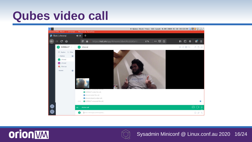## **Qubes video call**





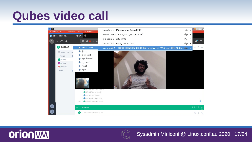## **Qubes video call**





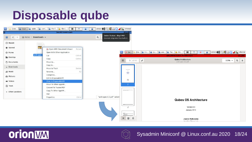#### **Disposable qube**





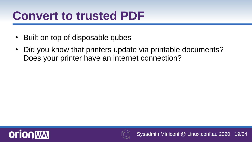#### **Convert to trusted PDF**

- Built on top of disposable qubes
- Did you know that printers update via printable documents? Does your printer have an internet connection?



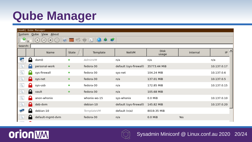## **Qube Manager**

| [dom0] Qube Manager                             |  |  |  |  |  |
|-------------------------------------------------|--|--|--|--|--|
| System Qube View About                          |  |  |  |  |  |
| Ш<br>-69<br>$\circledR$ $\circledR$ $\circledR$ |  |  |  |  |  |
| Search:                                         |  |  |  |  |  |
| IP<br>Internal<br>usage                         |  |  |  |  |  |
| n/a                                             |  |  |  |  |  |
| 10.137.0.17                                     |  |  |  |  |  |
| 10.137.0.6                                      |  |  |  |  |  |
| 10.137.0.5                                      |  |  |  |  |  |
| 10.137.0.15                                     |  |  |  |  |  |
|                                                 |  |  |  |  |  |
| 10.137.0.10                                     |  |  |  |  |  |
| 10.137.0.20                                     |  |  |  |  |  |
|                                                 |  |  |  |  |  |
| Yes                                             |  |  |  |  |  |
|                                                 |  |  |  |  |  |



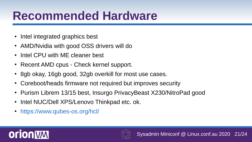## **Recommended Hardware**

- Intel integrated graphics best
- AMD/Nvidia with good OSS drivers will do
- Intel CPU with MF cleaner best
- Recent AMD cpus Check kernel support.
- 8gb okay, 16gb good, 32gb overkill for most use cases.
- Coreboot/heads firmware not required but improves security
- Purism Librem 13/15 best, Insurgo PrivacyBeast X230/NitroPad good
- Intel NUC/Dell XPS/Lenovo Thinkpad etc. ok.
- <https://www.qubes-os.org/hcl/>



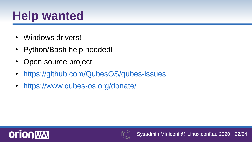## **Help wanted**

- Windows drivers!
- Python/Bash help needed!
- Open source project!
- <https://github.com/QubesOS/qubes-issues>
- <https://www.qubes-os.org/donate/>



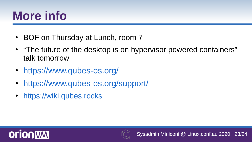## **More info**

- BOF on Thursday at Lunch, room 7
- "The future of the desktop is on hypervisor powered containers" talk tomorrow
- <https://www.qubes-os.org/>
- <https://www.qubes-os.org/support/>
- [https://wiki.qubes.rocks](https://wiki.qubes.rocks/)